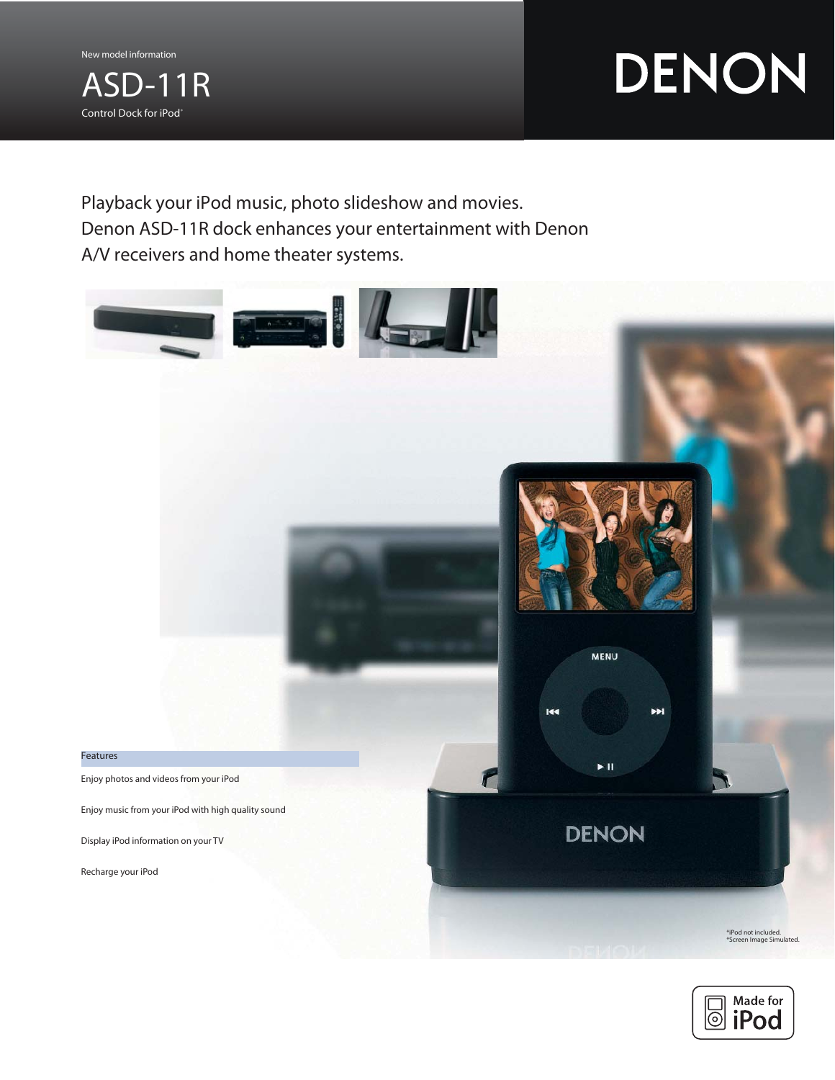

# DENON

Playback your iPod music, photo slideshow and movies. Denon ASD-11R dock enhances your entertainment with Denon A/V receivers and home theater systems.